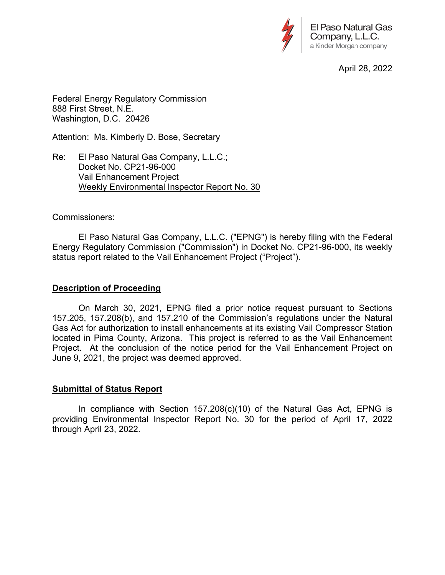

April 28, 2022

Federal Energy Regulatory Commission 888 First Street, N.E. Washington, D.C. 20426

Attention: Ms. Kimberly D. Bose, Secretary

Re: El Paso Natural Gas Company, L.L.C.; Docket No. CP21-96-000 Vail Enhancement Project Weekly Environmental Inspector Report No. 30

### Commissioners:

 El Paso Natural Gas Company, L.L.C. ("EPNG") is hereby filing with the Federal Energy Regulatory Commission ("Commission") in Docket No. CP21-96-000, its weekly status report related to the Vail Enhancement Project ("Project").

### **Description of Proceeding**

 On March 30, 2021, EPNG filed a prior notice request pursuant to Sections 157.205, 157.208(b), and 157.210 of the Commission's regulations under the Natural Gas Act for authorization to install enhancements at its existing Vail Compressor Station located in Pima County, Arizona. This project is referred to as the Vail Enhancement Project. At the conclusion of the notice period for the Vail Enhancement Project on June 9, 2021, the project was deemed approved.

### **Submittal of Status Report**

 In compliance with Section 157.208(c)(10) of the Natural Gas Act, EPNG is providing Environmental Inspector Report No. 30 for the period of April 17, 2022 through April 23, 2022.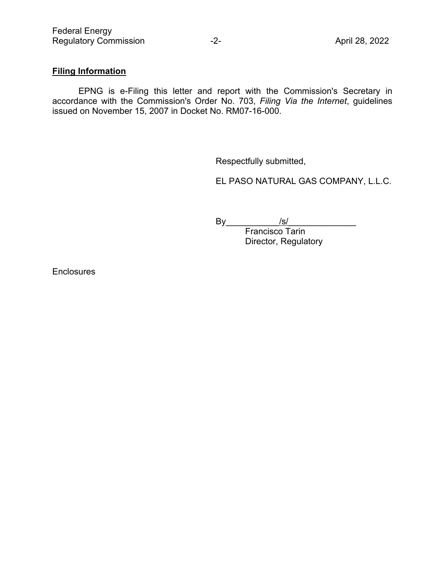# **Filing Information**

 EPNG is e-Filing this letter and report with the Commission's Secretary in accordance with the Commission's Order No. 703, *Filing Via the Internet*, guidelines issued on November 15, 2007 in Docket No. RM07-16-000.

Respectfully submitted,

EL PASO NATURAL GAS COMPANY, L.L.C.

By\_\_\_\_\_\_\_\_\_\_\_/s/\_\_\_\_\_\_\_\_\_\_\_\_\_\_

Francisco Tarin Director, Regulatory

**Enclosures**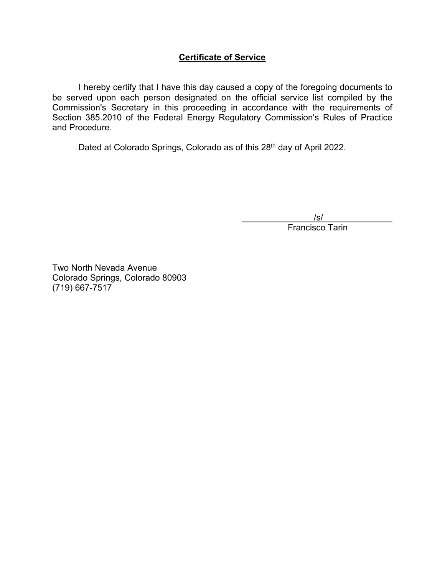## **Certificate of Service**

 I hereby certify that I have this day caused a copy of the foregoing documents to be served upon each person designated on the official service list compiled by the Commission's Secretary in this proceeding in accordance with the requirements of Section 385.2010 of the Federal Energy Regulatory Commission's Rules of Practice and Procedure.

Dated at Colorado Springs, Colorado as of this 28<sup>th</sup> day of April 2022.

/s/

Francisco Tarin

Two North Nevada Avenue Colorado Springs, Colorado 80903 (719) 667-7517